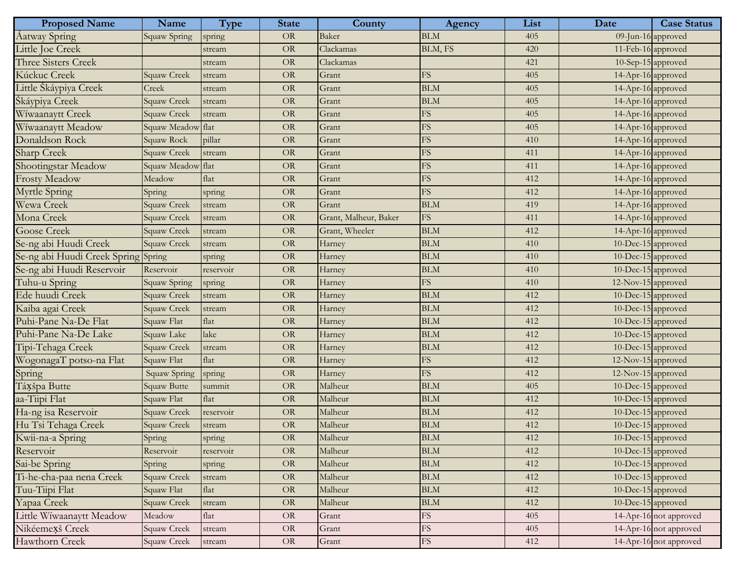| <b>Proposed Name</b>                | Name               | <b>Type</b>           | <b>State</b> | County                | Agency                 | List | Date               | <b>Case Status</b>     |
|-------------------------------------|--------------------|-----------------------|--------------|-----------------------|------------------------|------|--------------------|------------------------|
| Aatway Spring                       | Squaw Spring       | spring                | <b>OR</b>    | <b>Baker</b>          | <b>BLM</b>             | 405  |                    | 09-Jun-16 approved     |
| Little Joe Creek                    |                    | stream                | <b>OR</b>    | Clackamas             | BLM, FS                | 420  | 11-Feb-16 approved |                        |
| <b>Three Sisters Creek</b>          |                    | stream                | $\rm OR$     | Clackamas             |                        | 421  |                    | 10-Sep-15 approved     |
| Kúckuc Creek                        | Squaw Creek        | stream                | $\rm OR$     | Grant                 | ${\rm FS}$             | 405  | 14-Apr-16 approved |                        |
| Little Škáypiya Creek               | Creek              | stream                | <b>OR</b>    | Grant                 | <b>BLM</b>             | 405  | 14-Apr-16 approved |                        |
| Škáypiya Creek                      | Squaw Creek        | stream                | $\rm OR$     | Grant                 | <b>BLM</b>             | 405  | 14-Apr-16 approved |                        |
| Wíwaanaytt Creek                    | Squaw Creek        | stream                | $\rm OR$     | Grant                 | ${\rm FS}$             | 405  | 14-Apr-16 approved |                        |
| Wiwaanaytt Meadow                   | Squaw Meadow       | Flat                  | <b>OR</b>    | Grant                 | FS                     | 405  | 14-Apr-16 approved |                        |
| Donaldson Rock                      | Squaw Rock         | pillar                | $\rm OR$     | Grant                 | FS                     | 410  | 14-Apr-16 approved |                        |
| Sharp Creek                         | Squaw Creek        | stream                | $\rm OR$     | Grant                 | ${\rm FS}$             | 411  | 14-Apr-16 approved |                        |
| Shootingstar Meadow                 | Squaw Meadow       | flat                  | <b>OR</b>    | Grant                 | FS                     | 411  | 14-Apr-16 approved |                        |
| <b>Frosty Meadow</b>                | Meadow             | flat                  | $\rm OR$     | Grant                 | FS                     | 412  | 14-Apr-16 approved |                        |
| <b>Myrtle Spring</b>                | Spring             | spring                | $\rm OR$     | Grant                 | <b>FS</b>              | 412  | 14-Apr-16 approved |                        |
| Wewa Creek                          | Squaw Creek        | stream                | <b>OR</b>    | Grant                 | <b>BLM</b>             | 419  | 14-Apr-16 approved |                        |
| Mona Creek                          | Squaw Creek        | stream                | $\rm OR$     | Grant, Malheur, Baker | <b>FS</b>              | 411  | 14-Apr-16 approved |                        |
| <b>Goose Creek</b>                  | Squaw Creek        | stream                | $\rm OR$     | Grant, Wheeler        | <b>BLM</b>             | 412  | 14-Apr-16 approved |                        |
| Se-ng abi Huudi Creek               | Squaw Creek        | stream                | <b>OR</b>    | Harney                | <b>BLM</b>             | 410  | 10-Dec-15 approved |                        |
| Se-ng abi Huudi Creek Spring Spring |                    | spring                | $\rm OR$     | Harney                | <b>BLM</b>             | 410  | 10-Dec-15 approved |                        |
| Se-ng abi Huudi Reservoir           | Reservoir          | reservoir             | $\rm OR$     | Harney                | <b>BLM</b>             | 410  | 10-Dec-15 approved |                        |
| Tuhu-u Spring                       | Squaw Spring       | spring                | $\rm OR$     | Harney                | <b>FS</b>              | 410  | 12-Nov-15 approved |                        |
| Ede huudi Creek                     | Squaw Creek        | stream                | $\rm OR$     | Harney                | <b>BLM</b>             | 412  | 10-Dec-15 approved |                        |
| Kaiba agai Creek                    | Squaw Creek        | stream                | $\rm OR$     | Harney                | <b>BLM</b>             | 412  | 10-Dec-15 approved |                        |
| Puhi-Pane Na-De Flat                | Squaw Flat         | flat                  | $\rm OR$     | Harney                | <b>BLM</b>             | 412  | 10-Dec-15 approved |                        |
| Puhi-Pane Na-De Lake                | Squaw Lake         | lake                  | $\rm OR$     | Harney                | <b>BLM</b>             | 412  | 10-Dec-15 approved |                        |
| Tipi-Tehaga Creek                   | <b>Squaw Creek</b> | stream                | $\rm OR$     | Harney                | <b>BLM</b>             | 412  | 10-Dec-15 approved |                        |
| WogonagaT potso-na Flat             | Squaw Flat         | flat                  | $\rm OR$     | Harney                | ${\rm FS}$             | 412  | 12-Nov-15 approved |                        |
| Spring                              | Squaw Spring       | spring                | $\rm OR$     | Harney                | $\overline{\text{FS}}$ | 412  | 12-Nov-15 approved |                        |
| Táxšpa Butte                        | Squaw Butte        | summit                | $\rm OR$     | Malheur               | <b>BLM</b>             | 405  | 10-Dec-15 approved |                        |
| aa-Tiipi Flat                       | Squaw Flat         | flat                  | $\rm OR$     | Malheur               | <b>BLM</b>             | 412  | 10-Dec-15 approved |                        |
| Ha-ng isa Reservoir                 | Squaw Creek        | reservoir             | $\rm OR$     | Malheur               | <b>BLM</b>             | 412  | 10-Dec-15 approved |                        |
| Hu Tsi Tehaga Creek                 | <b>Squaw Creek</b> | stream                | $\rm OR$     | Malheur               | <b>BLM</b>             | 412  | 10-Dec-15 approved |                        |
| Kwii-na-a Spring                    | Spring             | spring                | $\rm OR$     | Malheur               | <b>BLM</b>             | 412  | 10-Dec-15 approved |                        |
| Reservoir                           | Reservoir          | reservoir             | <b>OR</b>    | Malheur               | <b>BLM</b>             | 412  | 10-Dec-15 approved |                        |
| Sai-be Spring                       | Spring             | spring                | $\rm OR$     | Malheur               | <b>BLM</b>             | 412  | 10-Dec-15 approved |                        |
| Ti-he-cha-paa nena Creek            | Squaw Creek        | stream                | $\rm OR$     | Malheur               | <b>BLM</b>             | 412  | 10-Dec-15 approved |                        |
| Tuu-Tiipi Flat                      | Squaw Flat         | flat                  | $\rm OR$     | Malheur               | <b>BLM</b>             | 412  | 10-Dec-15 approved |                        |
| Yapaa Creek                         | <b>Squaw Creek</b> | stream                | $\rm OR$     | Malheur               | BLM                    | 412  | 10-Dec-15 approved |                        |
| Little Wiwaanaytt Meadow            | Meadow             | $\operatorname{flat}$ | OR           | Grant                 | ${\rm FS}$             | 405  |                    | 14-Apr-16 not approved |
| Nikéemexš Creek                     | Squaw Creek        | stream                | $\rm OR$     | Grant                 | FS                     | 405  |                    | 14-Apr-16 not approved |
| Hawthorn Creek                      | Squaw Creek        | stream                | OR           | Grant                 | ${\rm FS}$             | 412  |                    | 14-Apr-16 not approved |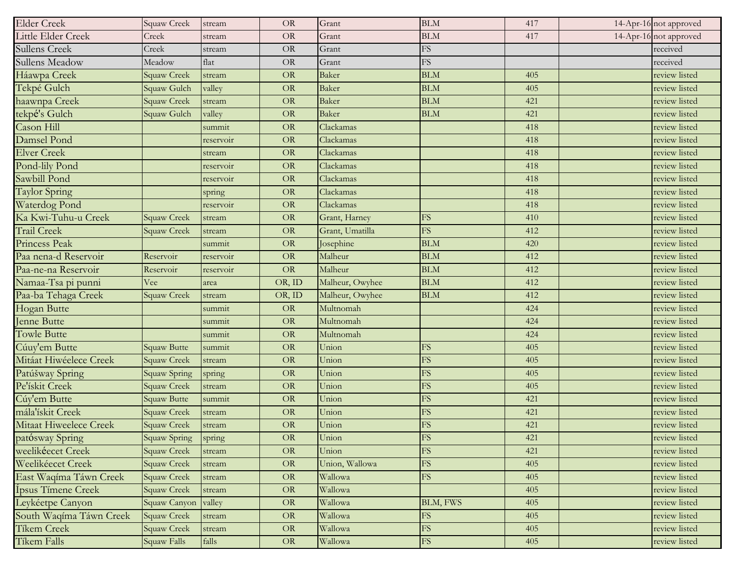| <b>Elder Creek</b>      | Squaw Creek        | stream    | <b>OR</b> | Grant           | <b>BLM</b>             | 417 | 14-Apr-16 not approved |
|-------------------------|--------------------|-----------|-----------|-----------------|------------------------|-----|------------------------|
| Little Elder Creek      | Creek              | stream    | $\rm OR$  | Grant           | <b>BLM</b>             | 417 | 14-Apr-16 not approved |
| Sullens Creek           | Creek              | stream    | OR        | Grant           | FS                     |     | received               |
| Sullens Meadow          | Meadow             | flat      | $\rm OR$  | Grant           | FS                     |     | received               |
| Háawpa Creek            | Squaw Creek        | stream    | OR        | <b>Baker</b>    | <b>BLM</b>             | 405 | review listed          |
| Tekpé Gulch             | Squaw Gulch        | valley    | <b>OR</b> | <b>Baker</b>    | <b>BLM</b>             | 405 | review listed          |
| haawnpa Creek           | Squaw Creek        | stream    | OR        | <b>Baker</b>    | <b>BLM</b>             | 421 | review listed          |
| tekpé's Gulch           | Squaw Gulch        | valley    | OR        | <b>Baker</b>    | <b>BLM</b>             | 421 | review listed          |
| Cason Hill              |                    | summit    | <b>OR</b> | Clackamas       |                        | 418 | review listed          |
| Damsel Pond             |                    | reservoir | OR        | Clackamas       |                        | 418 | review listed          |
| <b>Elver Creek</b>      |                    | stream    | OR        | Clackamas       |                        | 418 | review listed          |
| Pond-lily Pond          |                    | reservoir | <b>OR</b> | Clackamas       |                        | 418 | review listed          |
| Sawbill Pond            |                    | reservoir | OR        | Clackamas       |                        | 418 | review listed          |
| <b>Taylor Spring</b>    |                    | spring    | OR        | Clackamas       |                        | 418 | review listed          |
| Waterdog Pond           |                    | reservoir | OR        | Clackamas       |                        | 418 | review listed          |
| Ka Kwi-Tuhu-u Creek     | Squaw Creek        | stream    | OR        | Grant, Harney   | FS                     | 410 | review listed          |
| <b>Trail Creek</b>      | Squaw Creek        | stream    | OR        | Grant, Umatilla | <b>FS</b>              | 412 | review listed          |
| Princess Peak           |                    | summit    | $\rm OR$  | Josephine       | <b>BLM</b>             | 420 | review listed          |
| Paa nena-d Reservoir    | Reservoir          | reservoir | $\rm OR$  | Malheur         | <b>BLM</b>             | 412 | review listed          |
| Paa-ne-na Reservoir     | Reservoir          | reservoir | OR        | Malheur         | <b>BLM</b>             | 412 | review listed          |
| Namaa-Tsa pi punni      | Vee                | area      | OR, ID    | Malheur, Owyhee | <b>BLM</b>             | 412 | review listed          |
| Paa-ba Tehaga Creek     | <b>Squaw Creek</b> | stream    | OR, ID    | Malheur, Owyhee | <b>BLM</b>             | 412 | review listed          |
| <b>Hogan Butte</b>      |                    | summit    | OR        | Multnomah       |                        | 424 | review listed          |
| Jenne Butte             |                    | summit    | OR        | Multnomah       |                        | 424 | review listed          |
| <b>Towle Butte</b>      |                    | summit    | <b>OR</b> | Multnomah       |                        | 424 | review listed          |
| Cúuy'em Butte           | <b>Squaw Butte</b> | summit    | <b>OR</b> | Union           | ${\rm FS}$             | 405 | review listed          |
| Mitáat Hiwéelece Creek  | Squaw Creek        | stream    | OR        | Union           | ${\rm FS}$             | 405 | review listed          |
| Patúšway Spring         | Squaw Spring       | spring    | $\rm OR$  | Union           | <b>FS</b>              | 405 | review listed          |
| Pe'ískit Creek          | Squaw Creek        | stream    | OR        | Union           | FS                     | 405 | review listed          |
| Cúy'em Butte            | <b>Squaw Butte</b> | summit    | OR        | Union           | ${\rm FS}$             | 421 | review listed          |
| mála'ískit Creek        | Squaw Creek        | stream    | $\rm OR$  | Union           | FS                     | 421 | review listed          |
| Mitaat Hiweelece Creek  | Squaw Creek        | stream    | OR        | Union           | FS                     | 421 | review listed          |
| patósway Spring         | Squaw Spring       | spring    | <b>OR</b> | Union           | ${\rm FS}$             | 421 | review listed          |
| weelikéecet Creek       | Squaw Creek        | stream    | <b>OR</b> | Union           | FS                     | 421 | review listed          |
| Weelikéecet Creek       | Squaw Creek        | stream    | OR        | Union, Wallowa  | FS                     | 405 | review listed          |
| East Waqíma Táwn Creek  | <b>Squaw Creek</b> | stream    | OR        | Wallowa         | <b>FS</b>              | 405 | review listed          |
| Ípsus Tímene Creek      | <b>Squaw Creek</b> | stream    | OR        | Wallowa         |                        | 405 | review listed          |
| Leykéetpe Canyon        | Squaw Canyon       | valley    | <b>OR</b> | Wallowa         | BLM, FWS               | 405 | review listed          |
| South Waqíma Táwn Creek | <b>Squaw Creek</b> | stream    | <b>OR</b> | Wallowa         | ${\rm FS}$             | 405 | review listed          |
| Tíkem Creek             | <b>Squaw Creek</b> | stream    | OR        | Wallowa         | $\mathop{\mathrm{FS}}$ | 405 | review listed          |
| <b>Tíkem Falls</b>      | Squaw Falls        | falls     | OR        | Wallowa         | FS                     | 405 | review listed          |